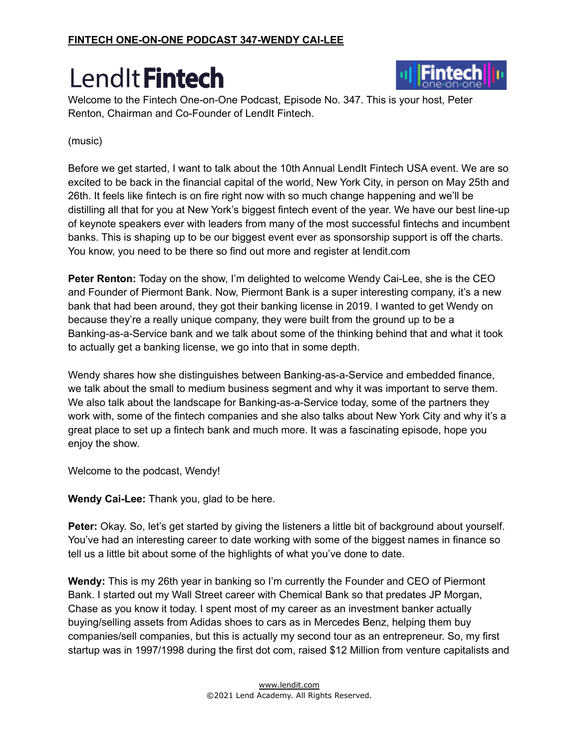

Welcome to the Fintech One-on-One Podcast, Episode No. 347. This is your host, Peter Renton, Chairman and Co-Founder of LendIt Fintech.

#### (music)

Before we get started, I want to talk about the 10th Annual LendIt Fintech USA event. We are so excited to be back in the financial capital of the world, New York City, in person on May 25th and 26th. It feels like fintech is on fire right now with so much change happening and we'll be distilling all that for you at New York's biggest fintech event of the year. We have our best line-up of keynote speakers ever with leaders from many of the most successful fintechs and incumbent banks. This is shaping up to be our biggest event ever as sponsorship support is off the charts. You know, you need to be there so find out more and register at lendit.com

**Peter Renton:** Today on the show, I'm delighted to welcome Wendy Cai-Lee, she is the CEO and Founder of Piermont Bank. Now, Piermont Bank is a super interesting company, it's a new bank that had been around, they got their banking license in 2019. I wanted to get Wendy on because they're a really unique company, they were built from the ground up to be a Banking-as-a-Service bank and we talk about some of the thinking behind that and what it took to actually get a banking license, we go into that in some depth.

Wendy shares how she distinguishes between Banking-as-a-Service and embedded finance, we talk about the small to medium business segment and why it was important to serve them. We also talk about the landscape for Banking-as-a-Service today, some of the partners they work with, some of the fintech companies and she also talks about New York City and why it's a great place to set up a fintech bank and much more. It was a fascinating episode, hope you enjoy the show.

Welcome to the podcast, Wendy!

**Wendy Cai-Lee:** Thank you, glad to be here.

**Peter:** Okay. So, let's get started by giving the listeners a little bit of background about yourself. You've had an interesting career to date working with some of the biggest names in finance so tell us a little bit about some of the highlights of what you've done to date.

**Wendy:** This is my 26th year in banking so I'm currently the Founder and CEO of Piermont Bank. I started out my Wall Street career with Chemical Bank so that predates JP Morgan, Chase as you know it today. I spent most of my career as an investment banker actually buying/selling assets from Adidas shoes to cars as in Mercedes Benz, helping them buy companies/sell companies, but this is actually my second tour as an entrepreneur. So, my first startup was in 1997/1998 during the first dot com, raised \$12 Million from venture capitalists and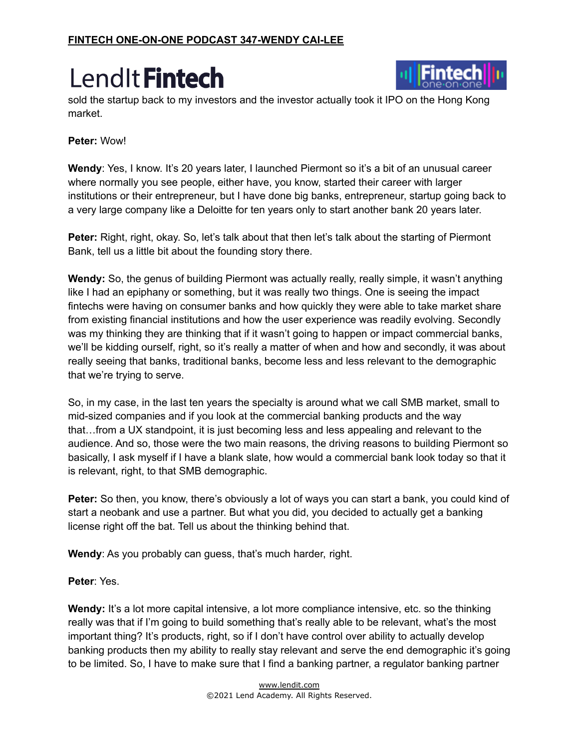

sold the startup back to my investors and the investor actually took it IPO on the Hong Kong market.

#### **Peter:** Wow!

**Wendy**: Yes, I know. It's 20 years later, I launched Piermont so it's a bit of an unusual career where normally you see people, either have, you know, started their career with larger institutions or their entrepreneur, but I have done big banks, entrepreneur, startup going back to a very large company like a Deloitte for ten years only to start another bank 20 years later.

**Peter:** Right, right, okay. So, let's talk about that then let's talk about the starting of Piermont Bank, tell us a little bit about the founding story there.

**Wendy:** So, the genus of building Piermont was actually really, really simple, it wasn't anything like I had an epiphany or something, but it was really two things. One is seeing the impact fintechs were having on consumer banks and how quickly they were able to take market share from existing financial institutions and how the user experience was readily evolving. Secondly was my thinking they are thinking that if it wasn't going to happen or impact commercial banks, we'll be kidding ourself, right, so it's really a matter of when and how and secondly, it was about really seeing that banks, traditional banks, become less and less relevant to the demographic that we're trying to serve.

So, in my case, in the last ten years the specialty is around what we call SMB market, small to mid-sized companies and if you look at the commercial banking products and the way that…from a UX standpoint, it is just becoming less and less appealing and relevant to the audience. And so, those were the two main reasons, the driving reasons to building Piermont so basically, I ask myself if I have a blank slate, how would a commercial bank look today so that it is relevant, right, to that SMB demographic.

**Peter:** So then, you know, there's obviously a lot of ways you can start a bank, you could kind of start a neobank and use a partner. But what you did, you decided to actually get a banking license right off the bat. Tell us about the thinking behind that.

**Wendy**: As you probably can guess, that's much harder, right.

#### **Peter**: Yes.

Wendy: It's a lot more capital intensive, a lot more compliance intensive, etc. so the thinking really was that if I'm going to build something that's really able to be relevant, what's the most important thing? It's products, right, so if I don't have control over ability to actually develop banking products then my ability to really stay relevant and serve the end demographic it's going to be limited. So, I have to make sure that I find a banking partner, a regulator banking partner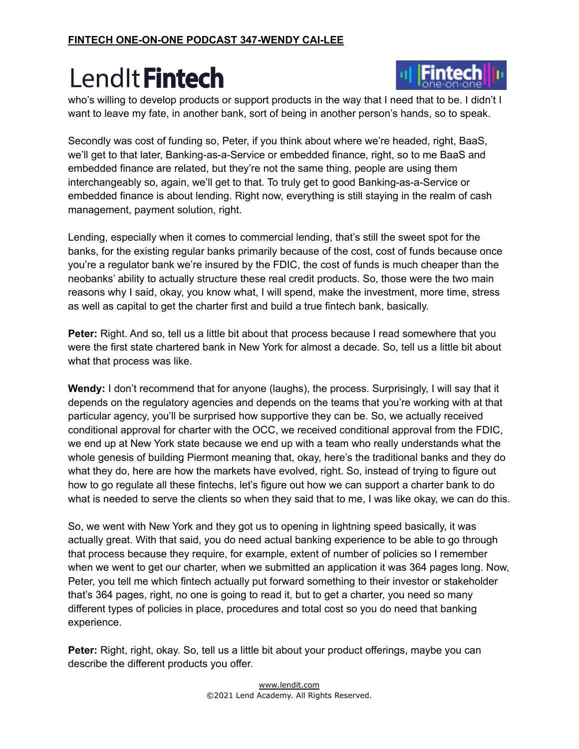

who's willing to develop products or support products in the way that I need that to be. I didn't I want to leave my fate, in another bank, sort of being in another person's hands, so to speak.

Secondly was cost of funding so, Peter, if you think about where we're headed, right, BaaS, we'll get to that later, Banking-as-a-Service or embedded finance, right, so to me BaaS and embedded finance are related, but they're not the same thing, people are using them interchangeably so, again, we'll get to that. To truly get to good Banking-as-a-Service or embedded finance is about lending. Right now, everything is still staying in the realm of cash management, payment solution, right.

Lending, especially when it comes to commercial lending, that's still the sweet spot for the banks, for the existing regular banks primarily because of the cost, cost of funds because once you're a regulator bank we're insured by the FDIC, the cost of funds is much cheaper than the neobanks' ability to actually structure these real credit products. So, those were the two main reasons why I said, okay, you know what, I will spend, make the investment, more time, stress as well as capital to get the charter first and build a true fintech bank, basically.

**Peter:** Right. And so, tell us a little bit about that process because I read somewhere that you were the first state chartered bank in New York for almost a decade. So, tell us a little bit about what that process was like.

**Wendy:** I don't recommend that for anyone (laughs), the process. Surprisingly, I will say that it depends on the regulatory agencies and depends on the teams that you're working with at that particular agency, you'll be surprised how supportive they can be. So, we actually received conditional approval for charter with the OCC, we received conditional approval from the FDIC, we end up at New York state because we end up with a team who really understands what the whole genesis of building Piermont meaning that, okay, here's the traditional banks and they do what they do, here are how the markets have evolved, right. So, instead of trying to figure out how to go regulate all these fintechs, let's figure out how we can support a charter bank to do what is needed to serve the clients so when they said that to me, I was like okay, we can do this.

So, we went with New York and they got us to opening in lightning speed basically, it was actually great. With that said, you do need actual banking experience to be able to go through that process because they require, for example, extent of number of policies so I remember when we went to get our charter, when we submitted an application it was 364 pages long. Now, Peter, you tell me which fintech actually put forward something to their investor or stakeholder that's 364 pages, right, no one is going to read it, but to get a charter, you need so many different types of policies in place, procedures and total cost so you do need that banking experience.

**Peter:** Right, right, okay. So, tell us a little bit about your product offerings, maybe you can describe the different products you offer.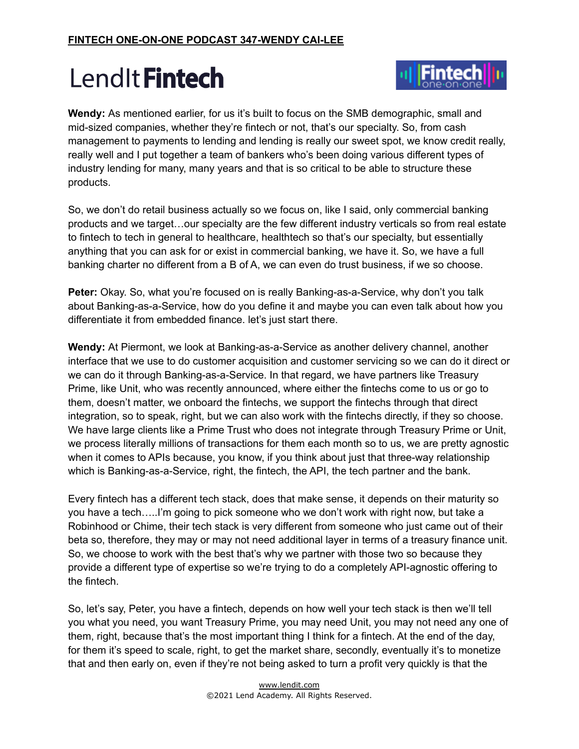

**Wendy:** As mentioned earlier, for us it's built to focus on the SMB demographic, small and mid-sized companies, whether they're fintech or not, that's our specialty. So, from cash management to payments to lending and lending is really our sweet spot, we know credit really, really well and I put together a team of bankers who's been doing various different types of industry lending for many, many years and that is so critical to be able to structure these products.

So, we don't do retail business actually so we focus on, like I said, only commercial banking products and we target…our specialty are the few different industry verticals so from real estate to fintech to tech in general to healthcare, healthtech so that's our specialty, but essentially anything that you can ask for or exist in commercial banking, we have it. So, we have a full banking charter no different from a B of A, we can even do trust business, if we so choose.

**Peter:** Okay. So, what you're focused on is really Banking-as-a-Service, why don't you talk about Banking-as-a-Service, how do you define it and maybe you can even talk about how you differentiate it from embedded finance. let's just start there.

**Wendy:** At Piermont, we look at Banking-as-a-Service as another delivery channel, another interface that we use to do customer acquisition and customer servicing so we can do it direct or we can do it through Banking-as-a-Service. In that regard, we have partners like Treasury Prime, like Unit, who was recently announced, where either the fintechs come to us or go to them, doesn't matter, we onboard the fintechs, we support the fintechs through that direct integration, so to speak, right, but we can also work with the fintechs directly, if they so choose. We have large clients like a Prime Trust who does not integrate through Treasury Prime or Unit, we process literally millions of transactions for them each month so to us, we are pretty agnostic when it comes to APIs because, you know, if you think about just that three-way relationship which is Banking-as-a-Service, right, the fintech, the API, the tech partner and the bank.

Every fintech has a different tech stack, does that make sense, it depends on their maturity so you have a tech…..I'm going to pick someone who we don't work with right now, but take a Robinhood or Chime, their tech stack is very different from someone who just came out of their beta so, therefore, they may or may not need additional layer in terms of a treasury finance unit. So, we choose to work with the best that's why we partner with those two so because they provide a different type of expertise so we're trying to do a completely API-agnostic offering to the fintech.

So, let's say, Peter, you have a fintech, depends on how well your tech stack is then we'll tell you what you need, you want Treasury Prime, you may need Unit, you may not need any one of them, right, because that's the most important thing I think for a fintech. At the end of the day, for them it's speed to scale, right, to get the market share, secondly, eventually it's to monetize that and then early on, even if they're not being asked to turn a profit very quickly is that the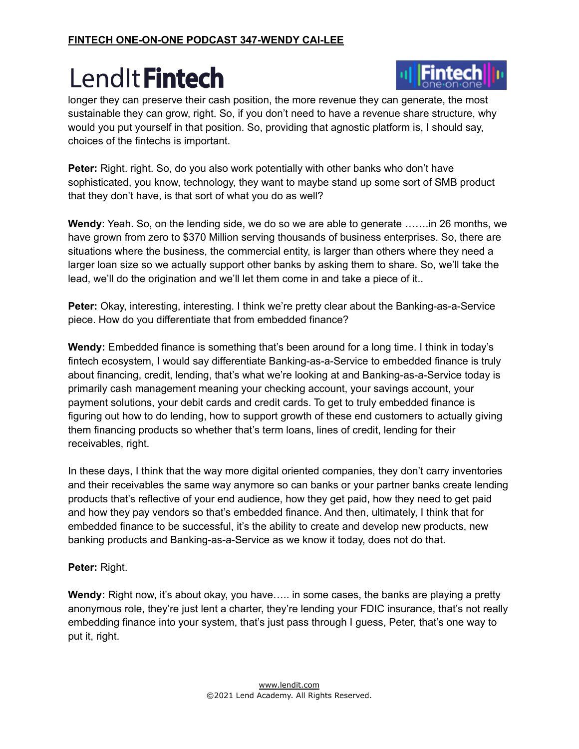

longer they can preserve their cash position, the more revenue they can generate, the most sustainable they can grow, right. So, if you don't need to have a revenue share structure, why would you put yourself in that position. So, providing that agnostic platform is, I should say, choices of the fintechs is important.

**Peter:** Right. right. So, do you also work potentially with other banks who don't have sophisticated, you know, technology, they want to maybe stand up some sort of SMB product that they don't have, is that sort of what you do as well?

**Wendy**: Yeah. So, on the lending side, we do so we are able to generate …….in 26 months, we have grown from zero to \$370 Million serving thousands of business enterprises. So, there are situations where the business, the commercial entity, is larger than others where they need a larger loan size so we actually support other banks by asking them to share. So, we'll take the lead, we'll do the origination and we'll let them come in and take a piece of it..

**Peter:** Okay, interesting, interesting. I think we're pretty clear about the Banking-as-a-Service piece. How do you differentiate that from embedded finance?

**Wendy:** Embedded finance is something that's been around for a long time. I think in today's fintech ecosystem, I would say differentiate Banking-as-a-Service to embedded finance is truly about financing, credit, lending, that's what we're looking at and Banking-as-a-Service today is primarily cash management meaning your checking account, your savings account, your payment solutions, your debit cards and credit cards. To get to truly embedded finance is figuring out how to do lending, how to support growth of these end customers to actually giving them financing products so whether that's term loans, lines of credit, lending for their receivables, right.

In these days, I think that the way more digital oriented companies, they don't carry inventories and their receivables the same way anymore so can banks or your partner banks create lending products that's reflective of your end audience, how they get paid, how they need to get paid and how they pay vendors so that's embedded finance. And then, ultimately, I think that for embedded finance to be successful, it's the ability to create and develop new products, new banking products and Banking-as-a-Service as we know it today, does not do that.

#### **Peter:** Right.

**Wendy:** Right now, it's about okay, you have….. in some cases, the banks are playing a pretty anonymous role, they're just lent a charter, they're lending your FDIC insurance, that's not really embedding finance into your system, that's just pass through I guess, Peter, that's one way to put it, right.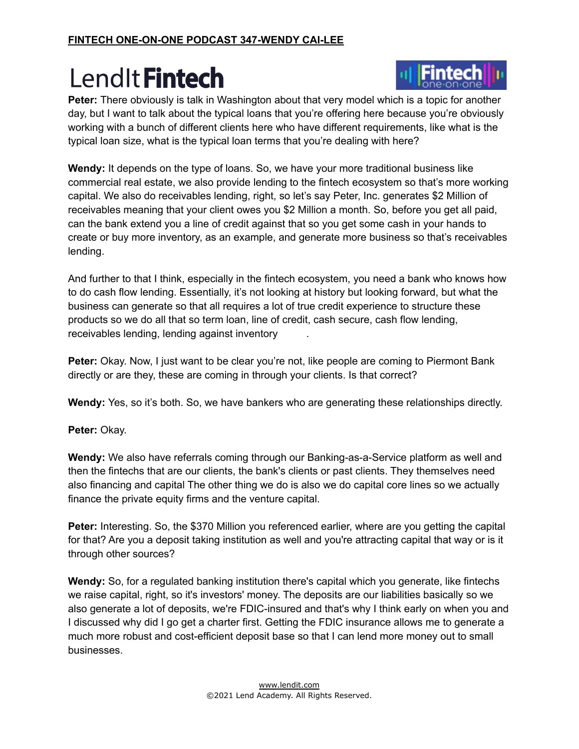

**Peter:** There obviously is talk in Washington about that very model which is a topic for another day, but I want to talk about the typical loans that you're offering here because you're obviously working with a bunch of different clients here who have different requirements, like what is the typical loan size, what is the typical loan terms that you're dealing with here?

**Wendy:** It depends on the type of loans. So, we have your more traditional business like commercial real estate, we also provide lending to the fintech ecosystem so that's more working capital. We also do receivables lending, right, so let's say Peter, Inc. generates \$2 Million of receivables meaning that your client owes you \$2 Million a month. So, before you get all paid, can the bank extend you a line of credit against that so you get some cash in your hands to create or buy more inventory, as an example, and generate more business so that's receivables lending.

And further to that I think, especially in the fintech ecosystem, you need a bank who knows how to do cash flow lending. Essentially, it's not looking at history but looking forward, but what the business can generate so that all requires a lot of true credit experience to structure these products so we do all that so term loan, line of credit, cash secure, cash flow lending, receivables lending, lending against inventory .

**Peter:** Okay. Now, I just want to be clear you're not, like people are coming to Piermont Bank directly or are they, these are coming in through your clients. Is that correct?

**Wendy:** Yes, so it's both. So, we have bankers who are generating these relationships directly.

**Peter:** Okay.

**Wendy:** We also have referrals coming through our Banking-as-a-Service platform as well and then the fintechs that are our clients, the bank's clients or past clients. They themselves need also financing and capital The other thing we do is also we do capital core lines so we actually finance the private equity firms and the venture capital.

**Peter:** Interesting. So, the \$370 Million you referenced earlier, where are you getting the capital for that? Are you a deposit taking institution as well and you're attracting capital that way or is it through other sources?

**Wendy:** So, for a regulated banking institution there's capital which you generate, like fintechs we raise capital, right, so it's investors' money. The deposits are our liabilities basically so we also generate a lot of deposits, we're FDIC-insured and that's why I think early on when you and I discussed why did I go get a charter first. Getting the FDIC insurance allows me to generate a much more robust and cost-efficient deposit base so that I can lend more money out to small businesses.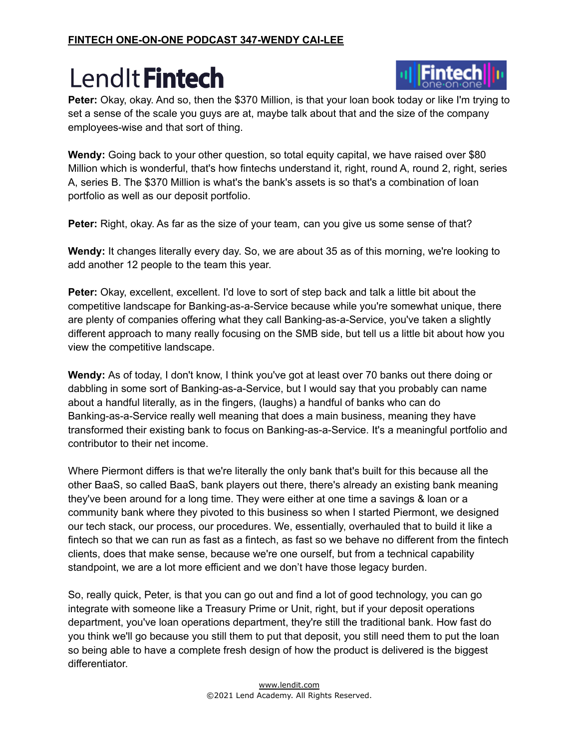

**Peter:** Okay, okay. And so, then the \$370 Million, is that your loan book today or like I'm trying to set a sense of the scale you guys are at, maybe talk about that and the size of the company employees-wise and that sort of thing.

**Wendy:** Going back to your other question, so total equity capital, we have raised over \$80 Million which is wonderful, that's how fintechs understand it, right, round A, round 2, right, series A, series B. The \$370 Million is what's the bank's assets is so that's a combination of loan portfolio as well as our deposit portfolio.

**Peter:** Right, okay. As far as the size of your team, can you give us some sense of that?

**Wendy:** It changes literally every day. So, we are about 35 as of this morning, we're looking to add another 12 people to the team this year.

**Peter:** Okay, excellent, excellent. I'd love to sort of step back and talk a little bit about the competitive landscape for Banking-as-a-Service because while you're somewhat unique, there are plenty of companies offering what they call Banking-as-a-Service, you've taken a slightly different approach to many really focusing on the SMB side, but tell us a little bit about how you view the competitive landscape.

**Wendy:** As of today, I don't know, I think you've got at least over 70 banks out there doing or dabbling in some sort of Banking-as-a-Service, but I would say that you probably can name about a handful literally, as in the fingers, (laughs) a handful of banks who can do Banking-as-a-Service really well meaning that does a main business, meaning they have transformed their existing bank to focus on Banking-as-a-Service. It's a meaningful portfolio and contributor to their net income.

Where Piermont differs is that we're literally the only bank that's built for this because all the other BaaS, so called BaaS, bank players out there, there's already an existing bank meaning they've been around for a long time. They were either at one time a savings & loan or a community bank where they pivoted to this business so when I started Piermont, we designed our tech stack, our process, our procedures. We, essentially, overhauled that to build it like a fintech so that we can run as fast as a fintech, as fast so we behave no different from the fintech clients, does that make sense, because we're one ourself, but from a technical capability standpoint, we are a lot more efficient and we don't have those legacy burden.

So, really quick, Peter, is that you can go out and find a lot of good technology, you can go integrate with someone like a Treasury Prime or Unit, right, but if your deposit operations department, you've loan operations department, they're still the traditional bank. How fast do you think we'll go because you still them to put that deposit, you still need them to put the loan so being able to have a complete fresh design of how the product is delivered is the biggest differentiator.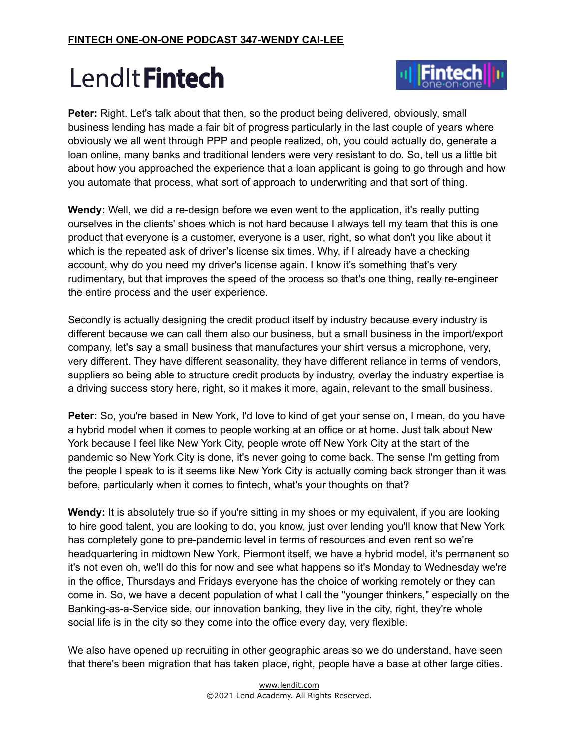

**Peter:** Right. Let's talk about that then, so the product being delivered, obviously, small business lending has made a fair bit of progress particularly in the last couple of years where obviously we all went through PPP and people realized, oh, you could actually do, generate a loan online, many banks and traditional lenders were very resistant to do. So, tell us a little bit about how you approached the experience that a loan applicant is going to go through and how you automate that process, what sort of approach to underwriting and that sort of thing.

**Wendy:** Well, we did a re-design before we even went to the application, it's really putting ourselves in the clients' shoes which is not hard because I always tell my team that this is one product that everyone is a customer, everyone is a user, right, so what don't you like about it which is the repeated ask of driver's license six times. Why, if I already have a checking account, why do you need my driver's license again. I know it's something that's very rudimentary, but that improves the speed of the process so that's one thing, really re-engineer the entire process and the user experience.

Secondly is actually designing the credit product itself by industry because every industry is different because we can call them also our business, but a small business in the import/export company, let's say a small business that manufactures your shirt versus a microphone, very, very different. They have different seasonality, they have different reliance in terms of vendors, suppliers so being able to structure credit products by industry, overlay the industry expertise is a driving success story here, right, so it makes it more, again, relevant to the small business.

**Peter:** So, you're based in New York, I'd love to kind of get your sense on, I mean, do you have a hybrid model when it comes to people working at an office or at home. Just talk about New York because I feel like New York City, people wrote off New York City at the start of the pandemic so New York City is done, it's never going to come back. The sense I'm getting from the people I speak to is it seems like New York City is actually coming back stronger than it was before, particularly when it comes to fintech, what's your thoughts on that?

**Wendy:** It is absolutely true so if you're sitting in my shoes or my equivalent, if you are looking to hire good talent, you are looking to do, you know, just over lending you'll know that New York has completely gone to pre-pandemic level in terms of resources and even rent so we're headquartering in midtown New York, Piermont itself, we have a hybrid model, it's permanent so it's not even oh, we'll do this for now and see what happens so it's Monday to Wednesday we're in the office, Thursdays and Fridays everyone has the choice of working remotely or they can come in. So, we have a decent population of what I call the "younger thinkers," especially on the Banking-as-a-Service side, our innovation banking, they live in the city, right, they're whole social life is in the city so they come into the office every day, very flexible.

We also have opened up recruiting in other geographic areas so we do understand, have seen that there's been migration that has taken place, right, people have a base at other large cities.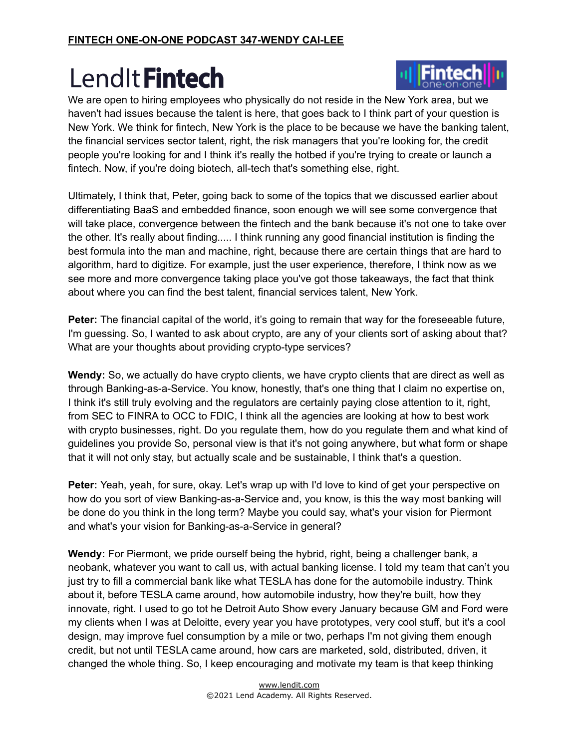

Ultimately, I think that, Peter, going back to some of the topics that we discussed earlier about differentiating BaaS and embedded finance, soon enough we will see some convergence that will take place, convergence between the fintech and the bank because it's not one to take over the other. It's really about finding..... I think running any good financial institution is finding the best formula into the man and machine, right, because there are certain things that are hard to algorithm, hard to digitize. For example, just the user experience, therefore, I think now as we see more and more convergence taking place you've got those takeaways, the fact that think about where you can find the best talent, financial services talent, New York.

**Peter:** The financial capital of the world, it's going to remain that way for the foreseeable future, I'm guessing. So, I wanted to ask about crypto, are any of your clients sort of asking about that? What are your thoughts about providing crypto-type services?

**Wendy:** So, we actually do have crypto clients, we have crypto clients that are direct as well as through Banking-as-a-Service. You know, honestly, that's one thing that I claim no expertise on, I think it's still truly evolving and the regulators are certainly paying close attention to it, right, from SEC to FINRA to OCC to FDIC, I think all the agencies are looking at how to best work with crypto businesses, right. Do you regulate them, how do you regulate them and what kind of guidelines you provide So, personal view is that it's not going anywhere, but what form or shape that it will not only stay, but actually scale and be sustainable, I think that's a question.

**Peter:** Yeah, yeah, for sure, okay. Let's wrap up with I'd love to kind of get your perspective on how do you sort of view Banking-as-a-Service and, you know, is this the way most banking will be done do you think in the long term? Maybe you could say, what's your vision for Piermont and what's your vision for Banking-as-a-Service in general?

**Wendy:** For Piermont, we pride ourself being the hybrid, right, being a challenger bank, a neobank, whatever you want to call us, with actual banking license. I told my team that can't you just try to fill a commercial bank like what TESLA has done for the automobile industry. Think about it, before TESLA came around, how automobile industry, how they're built, how they innovate, right. I used to go tot he Detroit Auto Show every January because GM and Ford were my clients when I was at Deloitte, every year you have prototypes, very cool stuff, but it's a cool design, may improve fuel consumption by a mile or two, perhaps I'm not giving them enough credit, but not until TESLA came around, how cars are marketed, sold, distributed, driven, it changed the whole thing. So, I keep encouraging and motivate my team is that keep thinking